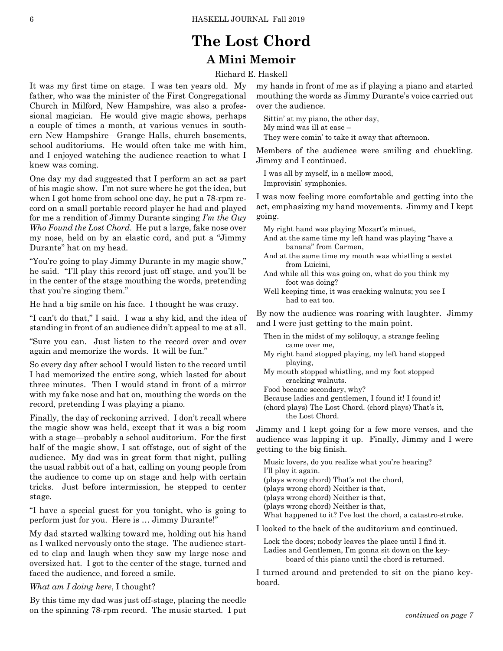## **The Lost Chord A Mini Memoir**

Richard E. Haskell

It was my first time on stage. I was ten years old. My father, who was the minister of the First Congregational Church in Milford, New Hampshire, was also a professional magician. He would give magic shows, perhaps a couple of times a month, at various venues in southern New Hampshire—Grange Halls, church basements, school auditoriums. He would often take me with him, and I enjoyed watching the audience reaction to what I knew was coming.

One day my dad suggested that I perform an act as part of his magic show. I'm not sure where he got the idea, but when I got home from school one day, he put a 78-rpm record on a small portable record player he had and played for me a rendition of Jimmy Durante singing *I'm the Guy Who Found the Lost Chord*. He put a large, fake nose over my nose, held on by an elastic cord, and put a "Jimmy Durante" hat on my head.

"You're going to play Jimmy Durante in my magic show," he said. "I'll play this record just off stage, and you'll be in the center of the stage mouthing the words, pretending that you're singing them."

He had a big smile on his face. I thought he was crazy.

"I can't do that," I said. I was a shy kid, and the idea of standing in front of an audience didn't appeal to me at all.

"Sure you can. Just listen to the record over and over again and memorize the words. It will be fun."

So every day after school I would listen to the record until I had memorized the entire song, which lasted for about three minutes. Then I would stand in front of a mirror with my fake nose and hat on, mouthing the words on the record, pretending I was playing a piano.

Finally, the day of reckoning arrived. I don't recall where the magic show was held, except that it was a big room with a stage—probably a school auditorium. For the first half of the magic show, I sat offstage, out of sight of the audience. My dad was in great form that night, pulling the usual rabbit out of a hat, calling on young people from the audience to come up on stage and help with certain tricks. Just before intermission, he stepped to center stage.

"I have a special guest for you tonight, who is going to perform just for you. Here is … Jimmy Durante!"

My dad started walking toward me, holding out his hand as I walked nervously onto the stage. The audience started to clap and laugh when they saw my large nose and oversized hat. I got to the center of the stage, turned and faced the audience, and forced a smile.

*What am I doing here*, I thought?

By this time my dad was just off-stage, placing the needle on the spinning 78-rpm record. The music started. I put my hands in front of me as if playing a piano and started mouthing the words as Jimmy Durante's voice carried out over the audience.

Sittin' at my piano, the other day, My mind was ill at ease – They were comin' to take it away that afternoon.

Members of the audience were smiling and chuckling. Jimmy and I continued.

I was all by myself, in a mellow mood, Improvisin' symphonies.

I was now feeling more comfortable and getting into the act, emphasizing my hand movements. Jimmy and I kept going.

My right hand was playing Mozart's minuet,

- And at the same time my left hand was playing "have a banana" from Carmen,
- And at the same time my mouth was whistling a sextet from Luicini,
- And while all this was going on, what do you think my foot was doing?
- Well keeping time, it was cracking walnuts; you see I had to eat too.

By now the audience was roaring with laughter. Jimmy and I were just getting to the main point.

- Then in the midst of my soliloquy, a strange feeling came over me,
- My right hand stopped playing, my left hand stopped playing,
- My mouth stopped whistling, and my foot stopped cracking walnuts.
- Food became secondary, why?
- Because ladies and gentlemen, I found it! I found it!

(chord plays) The Lost Chord. (chord plays) That's it, the Lost Chord.

Jimmy and I kept going for a few more verses, and the audience was lapping it up. Finally, Jimmy and I were getting to the big finish.

Music lovers, do you realize what you're hearing? I'll play it again. (plays wrong chord) That's not the chord, (plays wrong chord) Neither is that, (plays wrong chord) Neither is that, (plays wrong chord) Neither is that, What happened to it? I've lost the chord, a catastro-stroke.

I looked to the back of the auditorium and continued.

Lock the doors; nobody leaves the place until I find it. Ladies and Gentlemen, I'm gonna sit down on the keyboard of this piano until the chord is returned.

I turned around and pretended to sit on the piano keyboard.